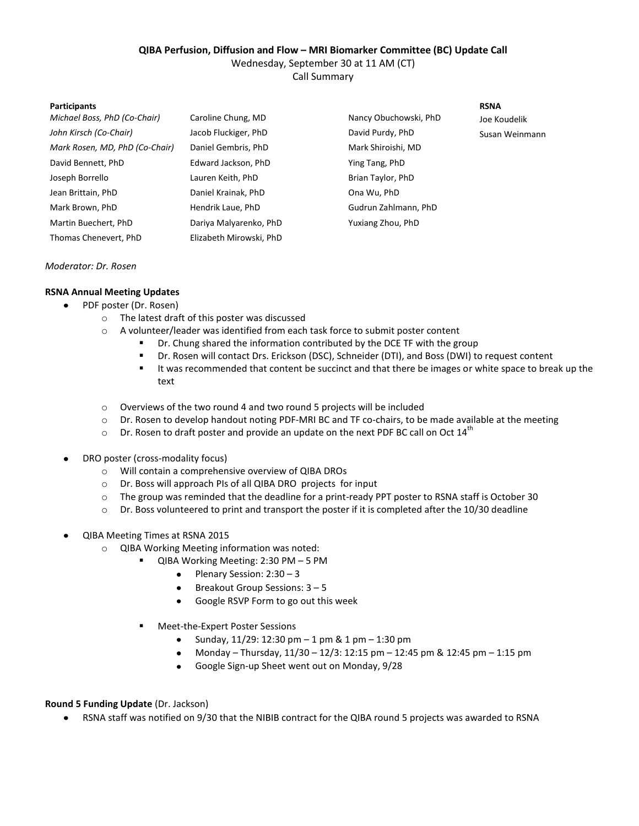### **QIBA Perfusion, Diffusion and Flow – MRI Biomarker Committee (BC) Update Call**

Wednesday, September 30 at 11 AM (CT)

Call Summary

#### **Participants RSNA**

| Michael Boss, PhD (Co-Chair)   | Caroline Chung, MD      | Nancy Obuchowski, PhD | Joe Koudelik   |
|--------------------------------|-------------------------|-----------------------|----------------|
| John Kirsch (Co-Chair)         | Jacob Fluckiger, PhD    | David Purdy, PhD      | Susan Weinmann |
| Mark Rosen, MD, PhD (Co-Chair) | Daniel Gembris, PhD     | Mark Shiroishi, MD    |                |
| David Bennett, PhD             | Edward Jackson, PhD     | Ying Tang, PhD        |                |
| Joseph Borrello                | Lauren Keith, PhD       | Brian Taylor, PhD     |                |
| Jean Brittain, PhD             | Daniel Krainak, PhD     | Ona Wu, PhD           |                |
| Mark Brown, PhD                | Hendrik Laue, PhD       | Gudrun Zahlmann, PhD  |                |
| Martin Buechert, PhD           | Dariya Malyarenko, PhD  | Yuxiang Zhou, PhD     |                |
| Thomas Chenevert, PhD          | Elizabeth Mirowski, PhD |                       |                |

#### *Moderator: Dr. Rosen*

# **RSNA Annual Meeting Updates**

- PDF poster (Dr. Rosen)
	- o The latest draft of this poster was discussed
	- o A volunteer/leader was identified from each task force to submit poster content
		- Dr. Chung shared the information contributed by the DCE TF with the group
		- Dr. Rosen will contact Drs. Erickson (DSC), Schneider (DTI), and Boss (DWI) to request content
		- It was recommended that content be succinct and that there be images or white space to break up the text
	- o Overviews of the two round 4 and two round 5 projects will be included
	- o Dr. Rosen to develop handout noting PDF-MRI BC and TF co-chairs, to be made available at the meeting
	- $\circ$  Dr. Rosen to draft poster and provide an update on the next PDF BC call on Oct 14<sup>th</sup>
- DRO poster (cross-modality focus)  $\bullet$ 
	- o Will contain a comprehensive overview of QIBA DROs
	- o Dr. Boss will approach PIs of all QIBA DRO projects for input
	- o The group was reminded that the deadline for a print-ready PPT poster to RSNA staff is October 30
	- o Dr. Boss volunteered to print and transport the poster if it is completed after the 10/30 deadline
- QIBA Meeting Times at RSNA 2015
	- o QIBA Working Meeting information was noted:
		- QIBA Working Meeting: 2:30 PM 5 PM
			- $\bullet$  Plenary Session: 2:30 3
			- Breakout Group Sessions: 3 5  $\bullet$
			- $\bullet$ Google RSVP Form to go out this week
			- Meet-the-Expert Poster Sessions
				- $\bullet$ Sunday, 11/29: 12:30 pm – 1 pm & 1 pm – 1:30 pm
				- $\bullet$ Monday – Thursday, 11/30 – 12/3: 12:15 pm – 12:45 pm & 12:45 pm – 1:15 pm
				- Google Sign-up Sheet went out on Monday, 9/28

# **Round 5 Funding Update** (Dr. Jackson)

RSNA staff was notified on 9/30 that the NIBIB contract for the QIBA round 5 projects was awarded to RSNA